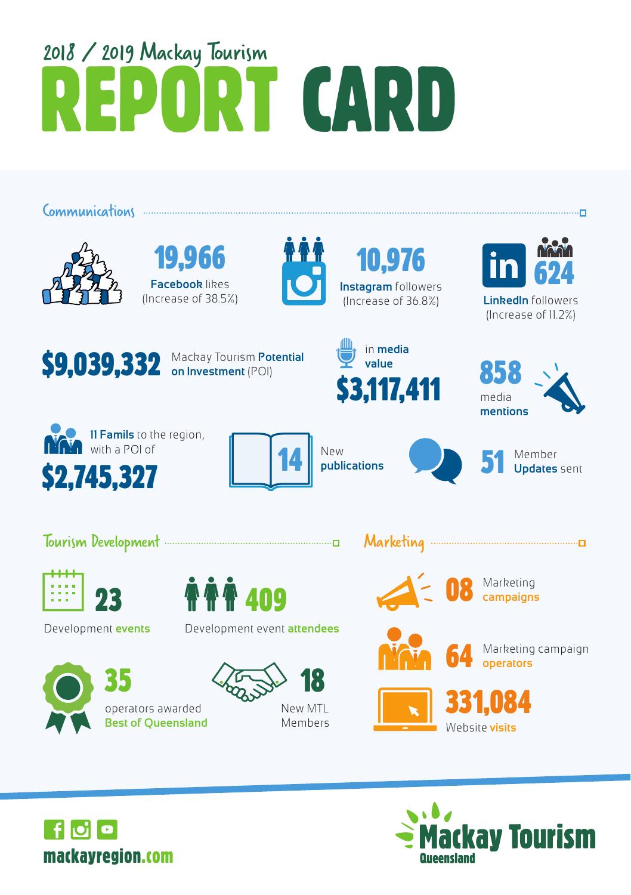# 2018 / 2019 Mackay Tourism<br>**REPORT CARD**

Communications .......



19,966 **Facebook** likes (Increase of 38.5%)



10.976 **Instagram** followers (Increase of 36.8%) **LinkedIn** followers



(Increase of 11.2%)



**on Investment** (POI)









New **publications** 







operators awarded





Members



08 Marketing **campaigns**

64 Marketing campaign **operators**